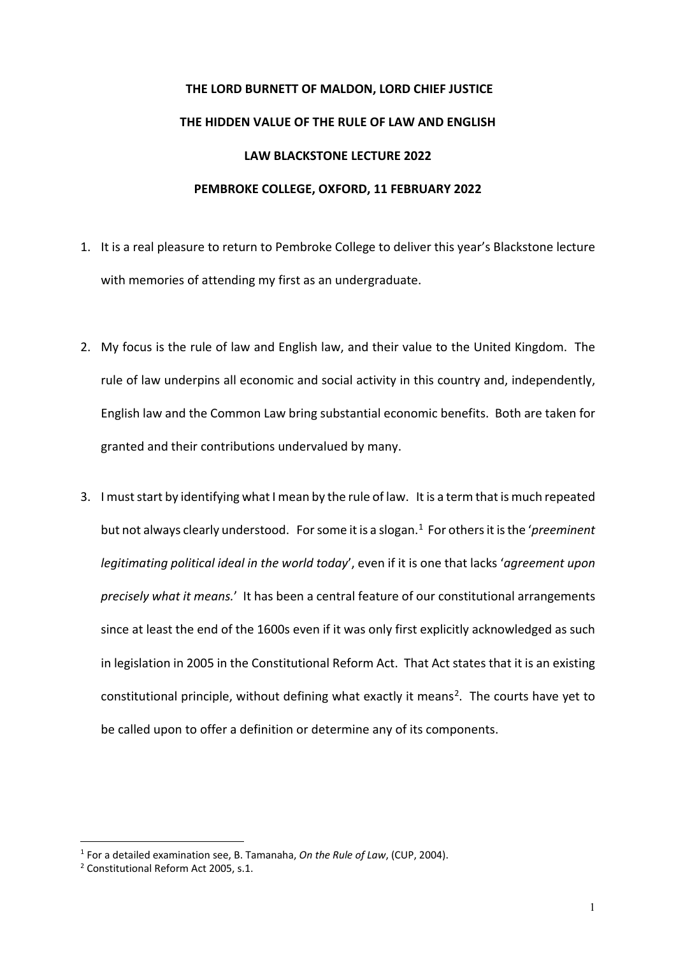## **THE LORD BURNETT OF MALDON, LORD CHIEF JUSTICE THE HIDDEN VALUE OF THE RULE OF LAW AND ENGLISH LAW BLACKSTONE LECTURE 2022 PEMBROKE COLLEGE, OXFORD, 11 FEBRUARY 2022**

- 1. It is a real pleasure to return to Pembroke College to deliver this year's Blackstone lecture with memories of attending my first as an undergraduate.
- 2. My focus is the rule of law and English law, and their value to the United Kingdom. The rule of law underpins all economic and social activity in this country and, independently, English law and the Common Law bring substantial economic benefits. Both are taken for granted and their contributions undervalued by many.
- 3. I must start by identifying what I mean by the rule of law. It is a term that is much repeated but not always clearly understood. For some it is a slogan.[1](#page-0-0) For others it is the '*preeminent legitimating political ideal in the world today*', even if it is one that lacks '*agreement upon precisely what it means.*' It has been a central feature of our constitutional arrangements since at least the end of the 1600s even if it was only first explicitly acknowledged as such in legislation in 2005 in the Constitutional Reform Act. That Act states that it is an existing constitutional principle, without defining what exactly it means<sup>[2](#page-0-1)</sup>. The courts have yet to be called upon to offer a definition or determine any of its components.

<span id="page-0-0"></span><sup>1</sup> For a detailed examination see, B. Tamanaha, *On the Rule of Law*, (CUP, 2004).

<span id="page-0-1"></span><sup>2</sup> Constitutional Reform Act 2005, s.1.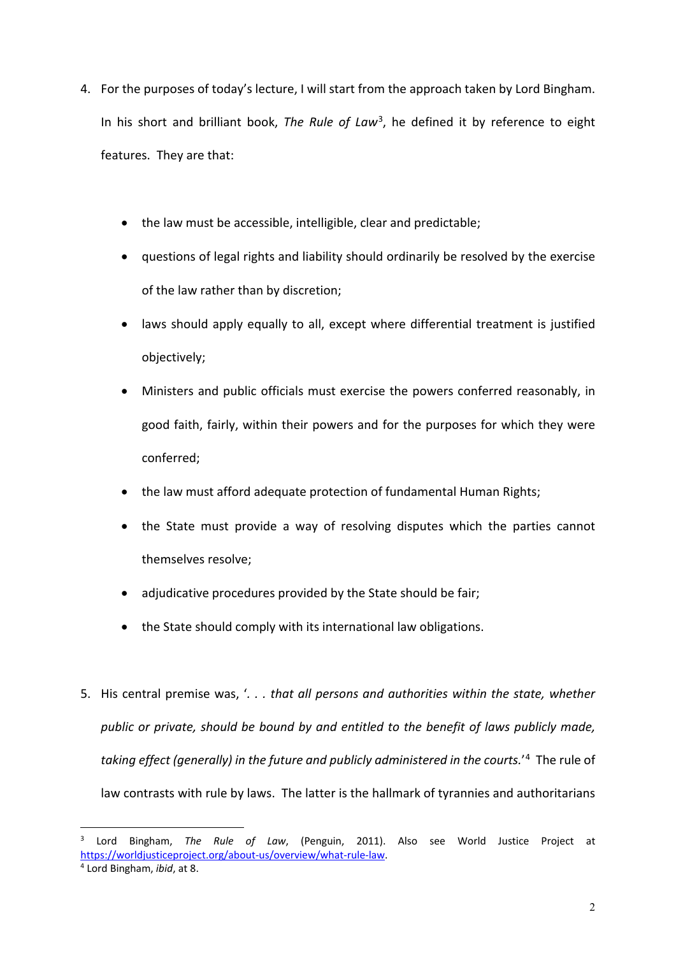- 4. For the purposes of today's lecture, I will start from the approach taken by Lord Bingham. In his short and brilliant book, *The Rule of Law*[3](#page-1-0), he defined it by reference to eight features. They are that:
	- the law must be accessible, intelligible, clear and predictable;
	- questions of legal rights and liability should ordinarily be resolved by the exercise of the law rather than by discretion;
	- laws should apply equally to all, except where differential treatment is justified objectively;
	- Ministers and public officials must exercise the powers conferred reasonably, in good faith, fairly, within their powers and for the purposes for which they were conferred;
	- the law must afford adequate protection of fundamental Human Rights;
	- the State must provide a way of resolving disputes which the parties cannot themselves resolve;
	- adjudicative procedures provided by the State should be fair;
	- the State should comply with its international law obligations.
- 5. His central premise was, '*. . . that all persons and authorities within the state, whether public or private, should be bound by and entitled to the benefit of laws publicly made, taking effect (generally) in the future and publicly administered in the courts.*' [4](#page-1-1) The rule of law contrasts with rule by laws. The latter is the hallmark of tyrannies and authoritarians

<span id="page-1-0"></span><sup>3</sup> Lord Bingham, *The Rule of Law*, (Penguin, 2011). Also see World Justice Project at [https://worldjusticeproject.org/about-us/overview/what-rule-law.](https://worldjusticeproject.org/about-us/overview/what-rule-law) 4 Lord Bingham, *ibid*, at 8.

<span id="page-1-1"></span>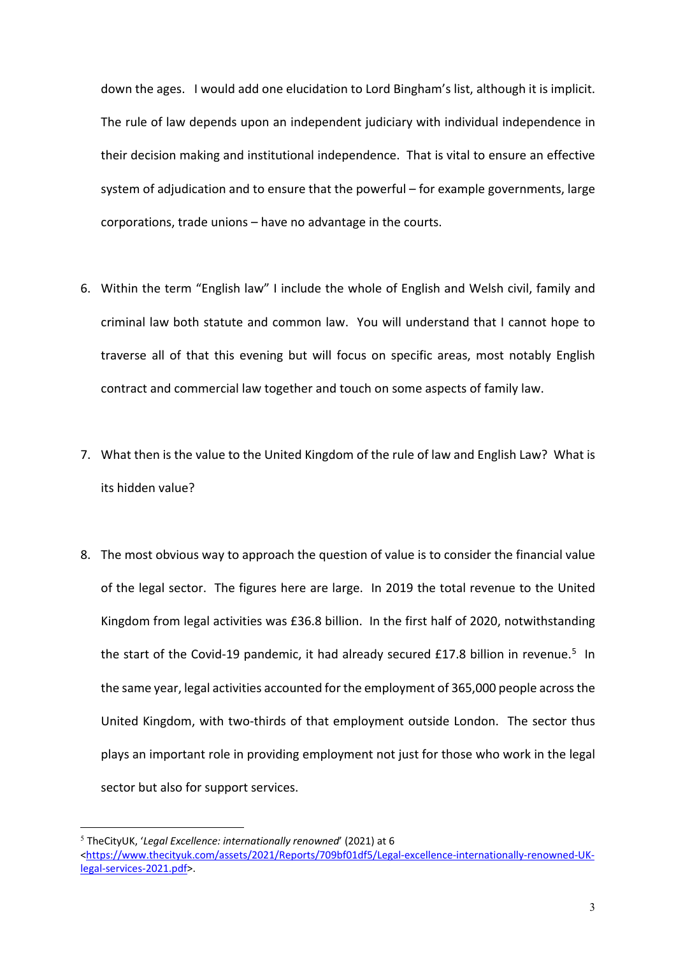down the ages. I would add one elucidation to Lord Bingham's list, although it is implicit. The rule of law depends upon an independent judiciary with individual independence in their decision making and institutional independence. That is vital to ensure an effective system of adjudication and to ensure that the powerful – for example governments, large corporations, trade unions – have no advantage in the courts.

- 6. Within the term "English law" I include the whole of English and Welsh civil, family and criminal law both statute and common law. You will understand that I cannot hope to traverse all of that this evening but will focus on specific areas, most notably English contract and commercial law together and touch on some aspects of family law.
- 7. What then is the value to the United Kingdom of the rule of law and English Law? What is its hidden value?
- 8. The most obvious way to approach the question of value is to consider the financial value of the legal sector. The figures here are large. In 2019 the total revenue to the United Kingdom from legal activities was £36.8 billion. In the first half of 2020, notwithstanding the start of the Covid-19 pandemic, it had already secured £17.8 billion in revenue.<sup>[5](#page-2-0)</sup> In the same year, legal activities accounted for the employment of 365,000 people across the United Kingdom, with two-thirds of that employment outside London. The sector thus plays an important role in providing employment not just for those who work in the legal sector but also for support services.

<span id="page-2-0"></span><sup>5</sup> TheCityUK, '*Legal Excellence: internationally renowned*' (2021) at 6 [<https://www.thecityuk.com/assets/2021/Reports/709bf01df5/Legal-excellence-internationally-renowned-UK](https://www.thecityuk.com/assets/2021/Reports/709bf01df5/Legal-excellence-internationally-renowned-UK-legal-services-2021.pdf)[legal-services-2021.pdf>](https://www.thecityuk.com/assets/2021/Reports/709bf01df5/Legal-excellence-internationally-renowned-UK-legal-services-2021.pdf).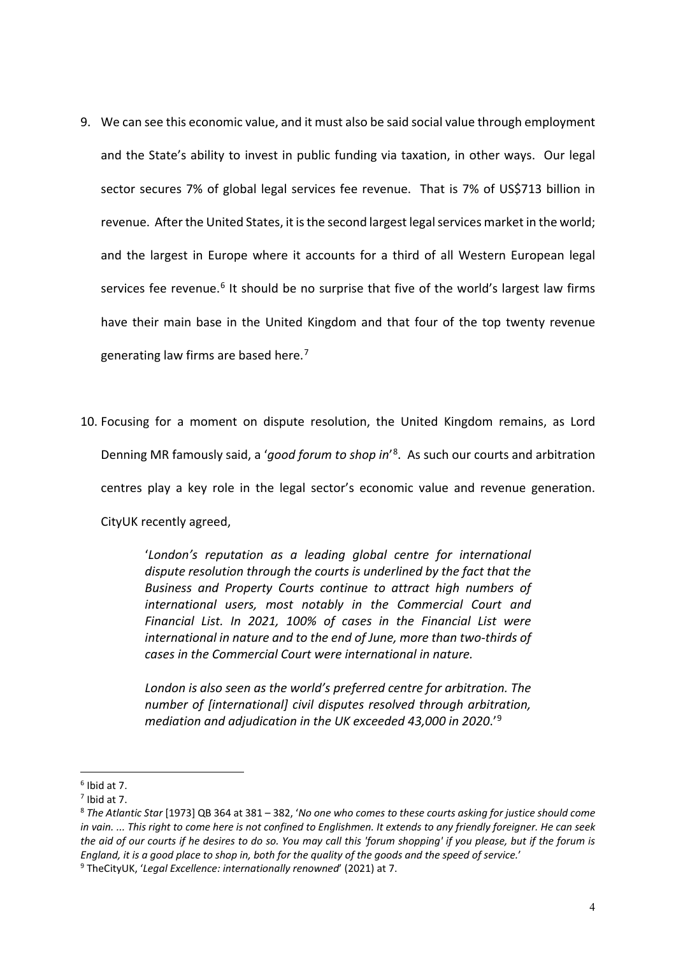- 9. We can see this economic value, and it must also be said social value through employment and the State's ability to invest in public funding via taxation, in other ways. Our legal sector secures 7% of global legal services fee revenue. That is 7% of US\$713 billion in revenue. After the United States, it is the second largest legal services market in the world; and the largest in Europe where it accounts for a third of all Western European legal services fee revenue.<sup>[6](#page-3-0)</sup> It should be no surprise that five of the world's largest law firms have their main base in the United Kingdom and that four of the top twenty revenue generating law firms are based here. $7$
- 10. Focusing for a moment on dispute resolution, the United Kingdom remains, as Lord Denning MR famously said, a '*good forum to shop in*' [8](#page-3-2). As such our courts and arbitration centres play a key role in the legal sector's economic value and revenue generation. CityUK recently agreed,

'*London's reputation as a leading global centre for international dispute resolution through the courts is underlined by the fact that the Business and Property Courts continue to attract high numbers of international users, most notably in the Commercial Court and Financial List. In 2021, 100% of cases in the Financial List were international in nature and to the end of June, more than two-thirds of cases in the Commercial Court were international in nature.* 

*London is also seen as the world's preferred centre for arbitration. The number of [international] civil disputes resolved through arbitration, mediation and adjudication in the UK exceeded 43,000 in 2020*.'[9](#page-3-3)

<span id="page-3-0"></span> $6$  Ibid at 7.

<span id="page-3-1"></span> $<sup>7</sup>$  Ibid at 7.</sup>

<span id="page-3-2"></span><sup>8</sup> *The Atlantic Star* [1973] QB 364 at 381 – 382, '*No one who comes to these courts asking for justice should come in vain. ... This right to come here is not confined to Englishmen. It extends to any friendly foreigner. He can seek the aid of our courts if he desires to do so. You may call this 'forum shopping' if you please, but if the forum is England, it is a good place to shop in, both for the quality of the goods and the speed of service.*' 9 TheCityUK, '*Legal Excellence: internationally renowned*' (2021) at 7.

<span id="page-3-3"></span>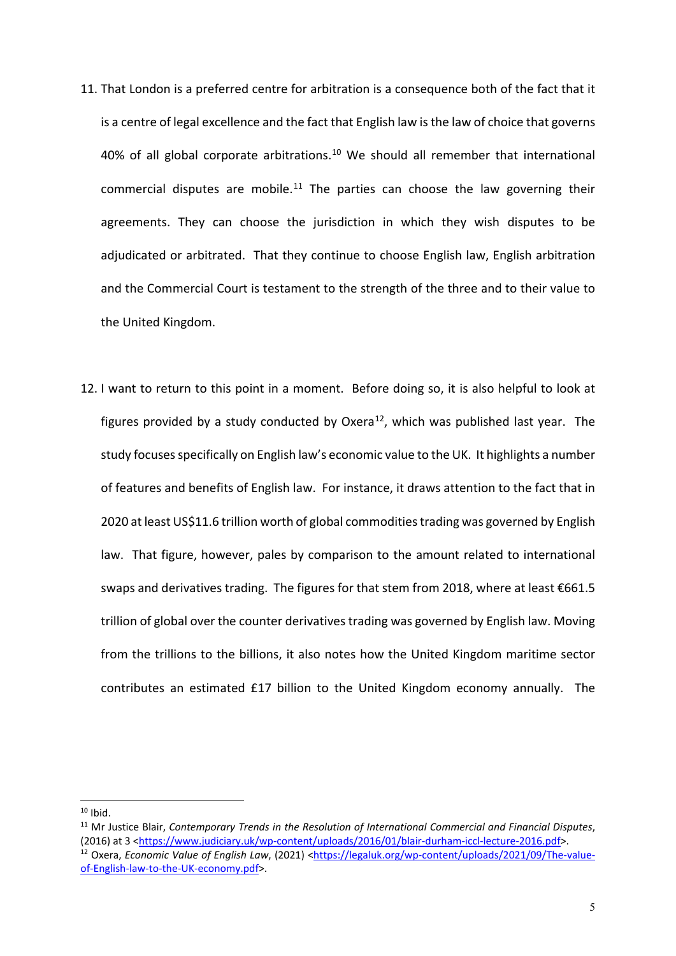- 11. That London is a preferred centre for arbitration is a consequence both of the fact that it is a centre of legal excellence and the fact that English law is the law of choice that governs 40% of all global corporate arbitrations.<sup>[10](#page-4-0)</sup> We should all remember that international commercial disputes are mobile.<sup>[11](#page-4-1)</sup> The parties can choose the law governing their agreements. They can choose the jurisdiction in which they wish disputes to be adjudicated or arbitrated. That they continue to choose English law, English arbitration and the Commercial Court is testament to the strength of the three and to their value to the United Kingdom.
- 12. I want to return to this point in a moment. Before doing so, it is also helpful to look at figures provided by a study conducted by Oxera<sup>[12](#page-4-2)</sup>, which was published last year. The study focuses specifically on English law's economic value to the UK. It highlights a number of features and benefits of English law. For instance, it draws attention to the fact that in 2020 at least US\$11.6 trillion worth of global commodities trading was governed by English law. That figure, however, pales by comparison to the amount related to international swaps and derivatives trading. The figures for that stem from 2018, where at least €661.5 trillion of global over the counter derivatives trading was governed by English law. Moving from the trillions to the billions, it also notes how the United Kingdom maritime sector contributes an estimated £17 billion to the United Kingdom economy annually. The

<span id="page-4-0"></span> $10$  Ibid.

<span id="page-4-2"></span><span id="page-4-1"></span><sup>11</sup> Mr Justice Blair, *Contemporary Trends in the Resolution of International Commercial and Financial Disputes*, (2016) at 3 [<https://www.judiciary.uk/wp-content/uploads/2016/01/blair-durham-iccl-lecture-2016.pdf>](https://www.judiciary.uk/wp-content/uploads/2016/01/blair-durham-iccl-lecture-2016.pdf). <sup>12</sup> Oxera, *Economic Value of English Law*, (2021) [<https://legaluk.org/wp-content/uploads/2021/09/The-value](https://legaluk.org/wp-content/uploads/2021/09/The-value-of-English-law-to-the-UK-economy.pdf)[of-English-law-to-the-UK-economy.pdf>](https://legaluk.org/wp-content/uploads/2021/09/The-value-of-English-law-to-the-UK-economy.pdf).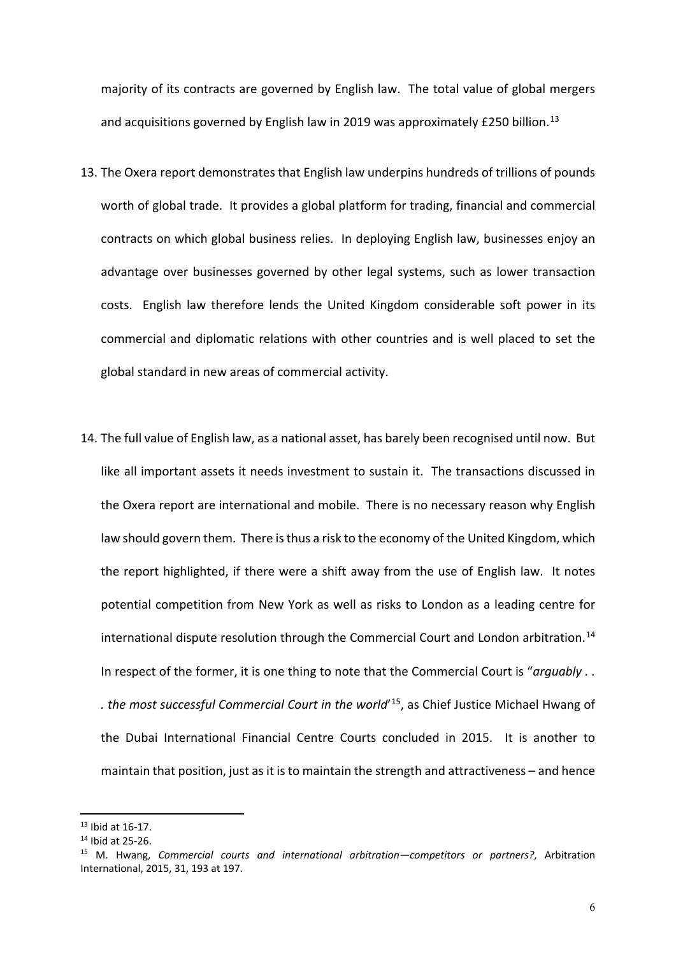majority of its contracts are governed by English law. The total value of global mergers and acquisitions governed by English law in 2019 was approximately £250 billion.<sup>13</sup>

- 13. The Oxera report demonstrates that English law underpins hundreds of trillions of pounds worth of global trade. It provides a global platform for trading, financial and commercial contracts on which global business relies. In deploying English law, businesses enjoy an advantage over businesses governed by other legal systems, such as lower transaction costs. English law therefore lends the United Kingdom considerable soft power in its commercial and diplomatic relations with other countries and is well placed to set the global standard in new areas of commercial activity.
- 14. The full value of English law, as a national asset, has barely been recognised until now. But like all important assets it needs investment to sustain it. The transactions discussed in the Oxera report are international and mobile. There is no necessary reason why English law should govern them. There is thus a risk to the economy of the United Kingdom, which the report highlighted, if there were a shift away from the use of English law. It notes potential competition from New York as well as risks to London as a leading centre for international dispute resolution through the Commercial Court and London arbitration.<sup>[14](#page-5-1)</sup> In respect of the former, it is one thing to note that the Commercial Court is "*arguably . . . the most successful Commercial Court in the world*' [15,](#page-5-2) as Chief Justice Michael Hwang of the Dubai International Financial Centre Courts concluded in 2015. It is another to maintain that position, just as it is to maintain the strength and attractiveness – and hence

<span id="page-5-0"></span><sup>13</sup> Ibid at 16-17.

<span id="page-5-1"></span><sup>14</sup> Ibid at 25-26.

<span id="page-5-2"></span><sup>15</sup> M. Hwang, *Commercial courts and international arbitration—competitors or partners?*, Arbitration International, 2015, 31, 193 at 197.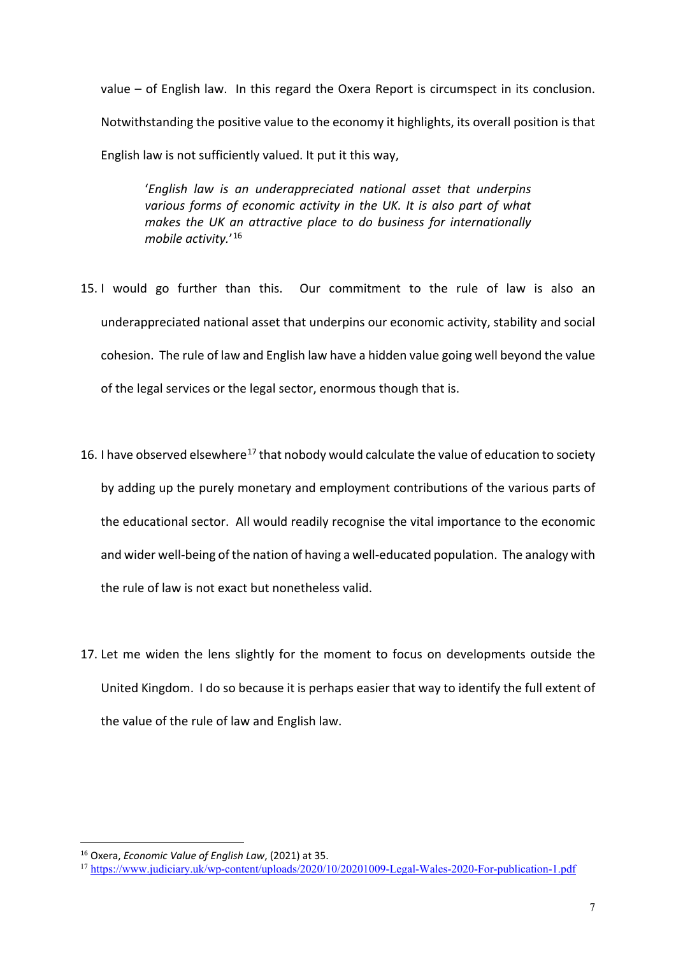value – of English law. In this regard the Oxera Report is circumspect in its conclusion. Notwithstanding the positive value to the economy it highlights, its overall position is that English law is not sufficiently valued. It put it this way,

'*English law is an underappreciated national asset that underpins various forms of economic activity in the UK. It is also part of what makes the UK an attractive place to do business for internationally mobile activity.*' [16](#page-6-0)

- 15. I would go further than this. Our commitment to the rule of law is also an underappreciated national asset that underpins our economic activity, stability and social cohesion. The rule of law and English law have a hidden value going well beyond the value of the legal services or the legal sector, enormous though that is.
- 16. I have observed elsewhere<sup>[17](#page-6-1)</sup> that nobody would calculate the value of education to society by adding up the purely monetary and employment contributions of the various parts of the educational sector. All would readily recognise the vital importance to the economic and wider well-being of the nation of having a well-educated population. The analogy with the rule of law is not exact but nonetheless valid.
- 17. Let me widen the lens slightly for the moment to focus on developments outside the United Kingdom. I do so because it is perhaps easier that way to identify the full extent of the value of the rule of law and English law.

<span id="page-6-0"></span><sup>16</sup> Oxera, *Economic Value of English Law*, (2021) at 35.

<span id="page-6-1"></span><sup>17</sup> [https://www.judiciary.uk/wp-content/uploads/2020/10/20201009-Legal-Wales-2020-For-publication-1.pdf](https://eur01.safelinks.protection.outlook.com/?url=https%3A%2F%2Fwww.judiciary.uk%2Fwp-content%2Fuploads%2F2020%2F10%2F20201009-Legal-Wales-2020-For-publication-1.pdf&data=04%7C01%7CLCJ.97%40ejudiciary.net%7Caed45bcd60054920102b08d9e249ea00%7C723e45572f1743ed9e71f1beb253e546%7C0%7C0%7C637789629847776103%7CUnknown%7CTWFpbGZsb3d8eyJWIjoiMC4wLjAwMDAiLCJQIjoiV2luMzIiLCJBTiI6Ik1haWwiLCJXVCI6Mn0%3D%7C3000&sdata=QmyIrR7nT5ggIb6A9%2BADxyN2swiipQZ%2FovGGw%2F1BZs8%3D&reserved=0)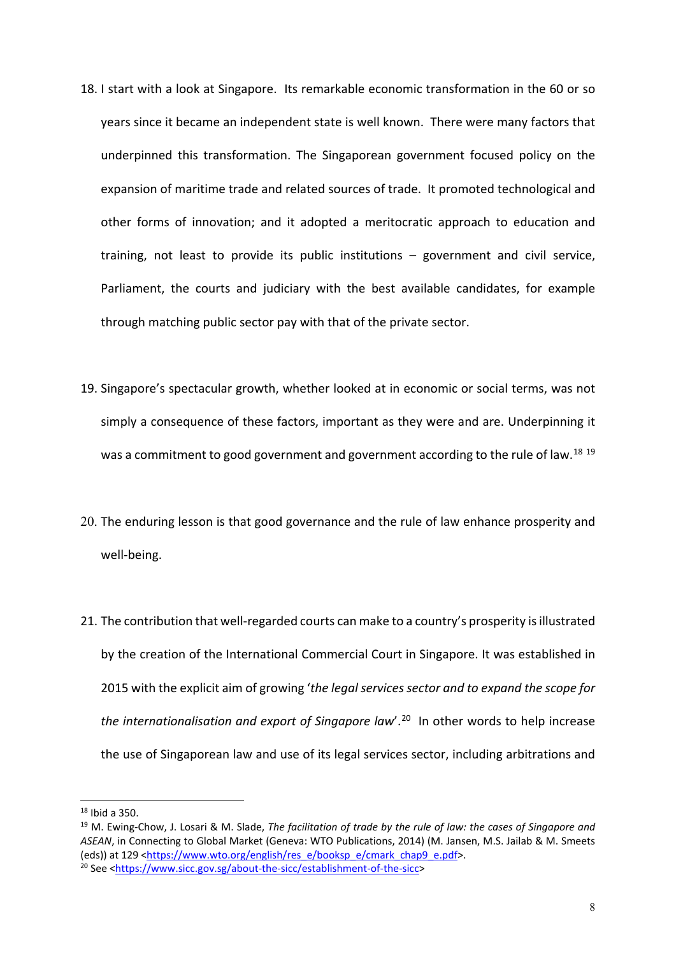- 18. I start with a look at Singapore. Its remarkable economic transformation in the 60 or so years since it became an independent state is well known. There were many factors that underpinned this transformation. The Singaporean government focused policy on the expansion of maritime trade and related sources of trade. It promoted technological and other forms of innovation; and it adopted a meritocratic approach to education and training, not least to provide its public institutions – government and civil service, Parliament, the courts and judiciary with the best available candidates, for example through matching public sector pay with that of the private sector.
- 19. Singapore's spectacular growth, whether looked at in economic or social terms, was not simply a consequence of these factors, important as they were and are. Underpinning it was a commitment to good government and government according to the rule of law.<sup>[18](#page-7-0) [19](#page-7-1)</sup>
- 20. The enduring lesson is that good governance and the rule of law enhance prosperity and well-being.
- 21. The contribution that well-regarded courts can make to a country's prosperity is illustrated by the creation of the International Commercial Court in Singapore. It was established in 2015 with the explicit aim of growing '*the legal services sector and to expand the scope for the internationalisation and export of Singapore law*'.[20](#page-7-2) In other words to help increase the use of Singaporean law and use of its legal services sector, including arbitrations and

<span id="page-7-2"></span><span id="page-7-1"></span><span id="page-7-0"></span><sup>&</sup>lt;sup>18</sup> Ibid a 350.<br><sup>19</sup> M. Ewing-Chow, J. Losari & M. Slade, *The facilitation of trade by the rule of law: the cases of Singapore and ASEAN*, in Connecting to Global Market (Geneva: WTO Publications, 2014) (M. Jansen, M.S. Jailab & M. Smeets (eds)) at 129 [<https://www.wto.org/english/res\\_e/booksp\\_e/cmark\\_chap9\\_e.pdf>](https://www.wto.org/english/res_e/booksp_e/cmark_chap9_e.pdf). <sup>20</sup> See [<https://www.sicc.gov.sg/about-the-sicc/establishment-of-the-sicc>](https://www.sicc.gov.sg/about-the-sicc/establishment-of-the-sicc)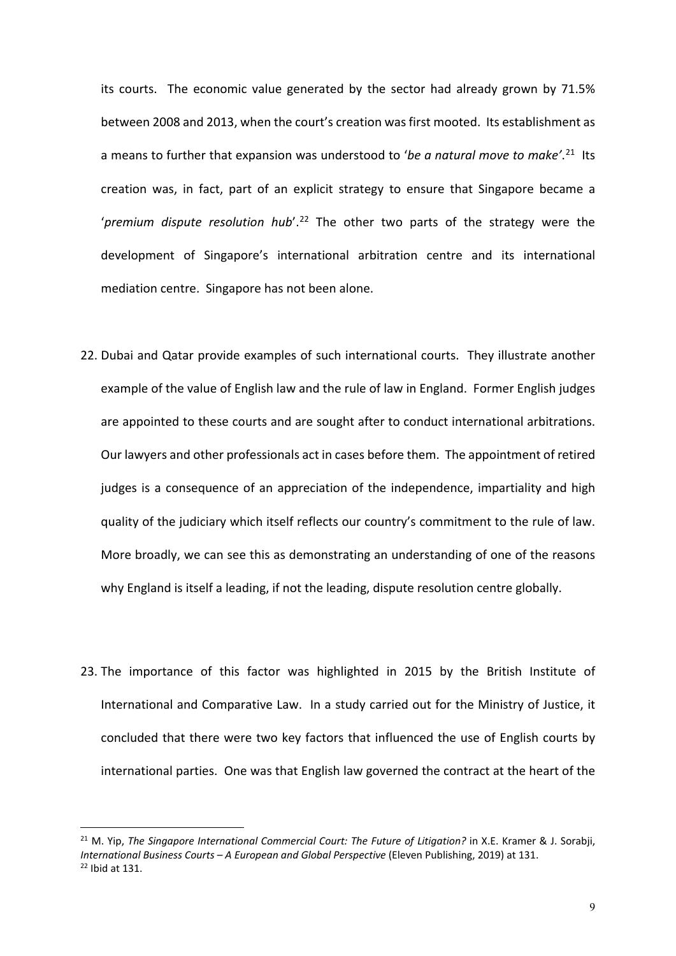its courts. The economic value generated by the sector had already grown by 71.5% between 2008 and 2013, when the court's creation was first mooted. Its establishment as a means to further that expansion was understood to '*be a natural move to make'*. [21](#page-8-0) Its creation was, in fact, part of an explicit strategy to ensure that Singapore became a '*premium dispute resolution hub*'.[22](#page-8-1) The other two parts of the strategy were the development of Singapore's international arbitration centre and its international mediation centre. Singapore has not been alone.

- 22. Dubai and Qatar provide examples of such international courts. They illustrate another example of the value of English law and the rule of law in England. Former English judges are appointed to these courts and are sought after to conduct international arbitrations. Our lawyers and other professionals act in cases before them. The appointment of retired judges is a consequence of an appreciation of the independence, impartiality and high quality of the judiciary which itself reflects our country's commitment to the rule of law. More broadly, we can see this as demonstrating an understanding of one of the reasons why England is itself a leading, if not the leading, dispute resolution centre globally.
- 23. The importance of this factor was highlighted in 2015 by the British Institute of International and Comparative Law. In a study carried out for the Ministry of Justice, it concluded that there were two key factors that influenced the use of English courts by international parties. One was that English law governed the contract at the heart of the

<span id="page-8-1"></span><span id="page-8-0"></span><sup>21</sup> M. Yip, *The Singapore International Commercial Court: The Future of Litigation?* in X.E. Kramer & J. Sorabji, *International Business Courts – A European and Global Perspective* (Eleven Publishing, 2019) at 131.  $22$  Ibid at 131.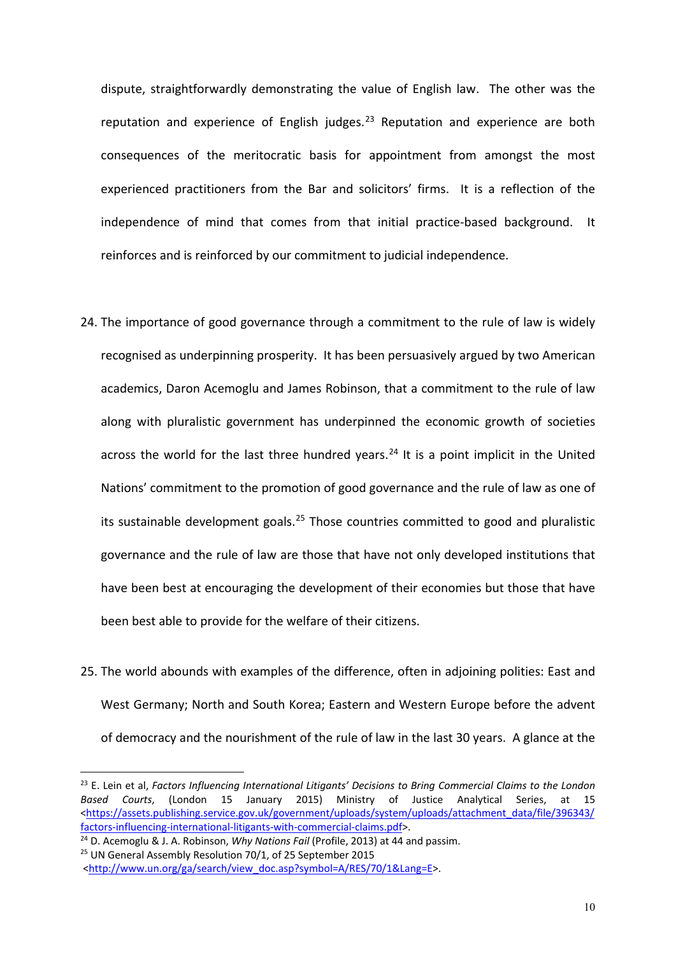dispute, straightforwardly demonstrating the value of English law. The other was the reputation and experience of English judges.<sup>[23](#page-9-0)</sup> Reputation and experience are both consequences of the meritocratic basis for appointment from amongst the most experienced practitioners from the Bar and solicitors' firms. It is a reflection of the independence of mind that comes from that initial practice-based background. It reinforces and is reinforced by our commitment to judicial independence.

- 24. The importance of good governance through a commitment to the rule of law is widely recognised as underpinning prosperity. It has been persuasively argued by two American academics, Daron Acemoglu and James Robinson, that a commitment to the rule of law along with pluralistic government has underpinned the economic growth of societies across the world for the last three hundred years.<sup>[24](#page-9-1)</sup> It is a point implicit in the United Nations' commitment to the promotion of good governance and the rule of law as one of its sustainable development goals.[25](#page-9-2) Those countries committed to good and pluralistic governance and the rule of law are those that have not only developed institutions that have been best at encouraging the development of their economies but those that have been best able to provide for the welfare of their citizens.
- 25. The world abounds with examples of the difference, often in adjoining polities: East and West Germany; North and South Korea; Eastern and Western Europe before the advent of democracy and the nourishment of the rule of law in the last 30 years. A glance at the

<span id="page-9-0"></span><sup>23</sup> E. Lein et al, *Factors Influencing International Litigants' Decisions to Bring Commercial Claims to the London Based Courts*, (London 15 January 2015) Ministry of Justice Analytical Series, at 15 [<https://assets.publishing.service.gov.uk/government/uploads/system/uploads/attachment\\_data/file/396343/](https://assets.publishing.service.gov.uk/government/uploads/system/uploads/attachment_data/file/396343/factors-influencing-international-litigants-with-commercial-claims.pdf) [factors-influencing-international-litigants-with-commercial-claims.pdf>](https://assets.publishing.service.gov.uk/government/uploads/system/uploads/attachment_data/file/396343/factors-influencing-international-litigants-with-commercial-claims.pdf).

<span id="page-9-1"></span><sup>24</sup> D. Acemoglu & J. A. Robinson, *Why Nations Fail* (Profile, 2013) at 44 and passim.

<span id="page-9-2"></span><sup>25</sup> UN General Assembly Resolution 70/1, of 25 September 2015

[<http://www.un.org/ga/search/view\\_doc.asp?symbol=A/RES/70/1&Lang=E>](http://www.un.org/ga/search/view_doc.asp?symbol=A/RES/70/1&Lang=E).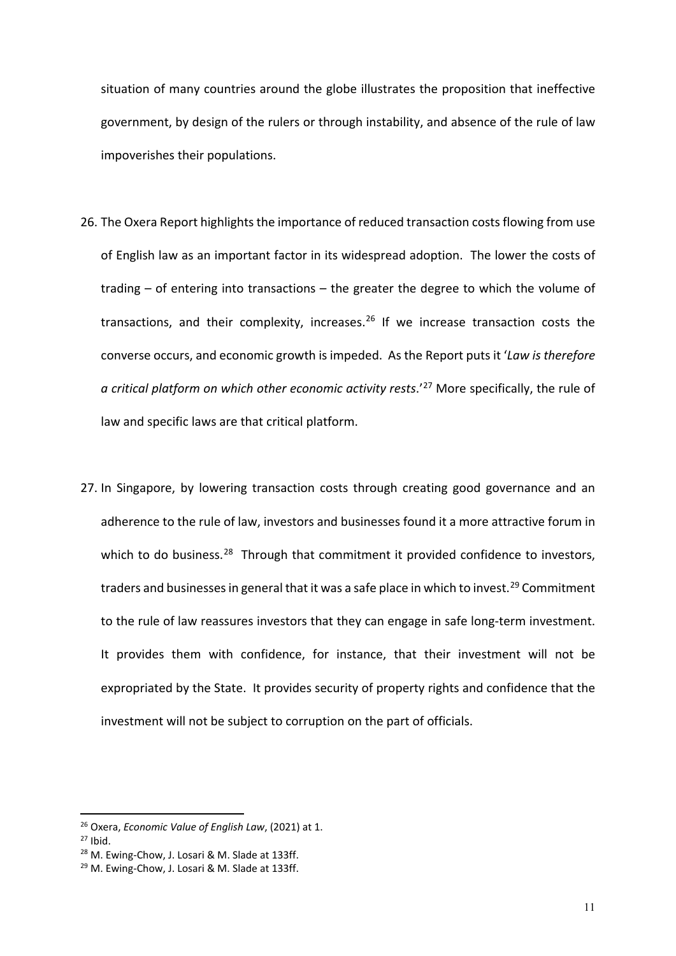situation of many countries around the globe illustrates the proposition that ineffective government, by design of the rulers or through instability, and absence of the rule of law impoverishes their populations.

- 26. The Oxera Report highlights the importance of reduced transaction costs flowing from use of English law as an important factor in its widespread adoption. The lower the costs of trading – of entering into transactions – the greater the degree to which the volume of transactions, and their complexity, increases.[26](#page-10-0) If we increase transaction costs the converse occurs, and economic growth is impeded. As the Report puts it '*Law is therefore a critical platform on which other economic activity rests.<sup>'[27](#page-10-1)</sup> More specifically, the rule of* law and specific laws are that critical platform.
- 27. In Singapore, by lowering transaction costs through creating good governance and an adherence to the rule of law, investors and businesses found it a more attractive forum in which to do business.<sup>[28](#page-10-2)</sup> Through that commitment it provided confidence to investors, traders and businesses in general that it was a safe place in which to invest.<sup>29</sup> Commitment to the rule of law reassures investors that they can engage in safe long-term investment. It provides them with confidence, for instance, that their investment will not be expropriated by the State. It provides security of property rights and confidence that the investment will not be subject to corruption on the part of officials.

<span id="page-10-0"></span><sup>26</sup> Oxera, *Economic Value of English Law*, (2021) at 1.

<span id="page-10-1"></span> $27$  Ibid.

<span id="page-10-2"></span><sup>28</sup> M. Ewing-Chow, J. Losari & M. Slade at 133ff.

<span id="page-10-3"></span><sup>&</sup>lt;sup>29</sup> M. Ewing-Chow, J. Losari & M. Slade at 133ff.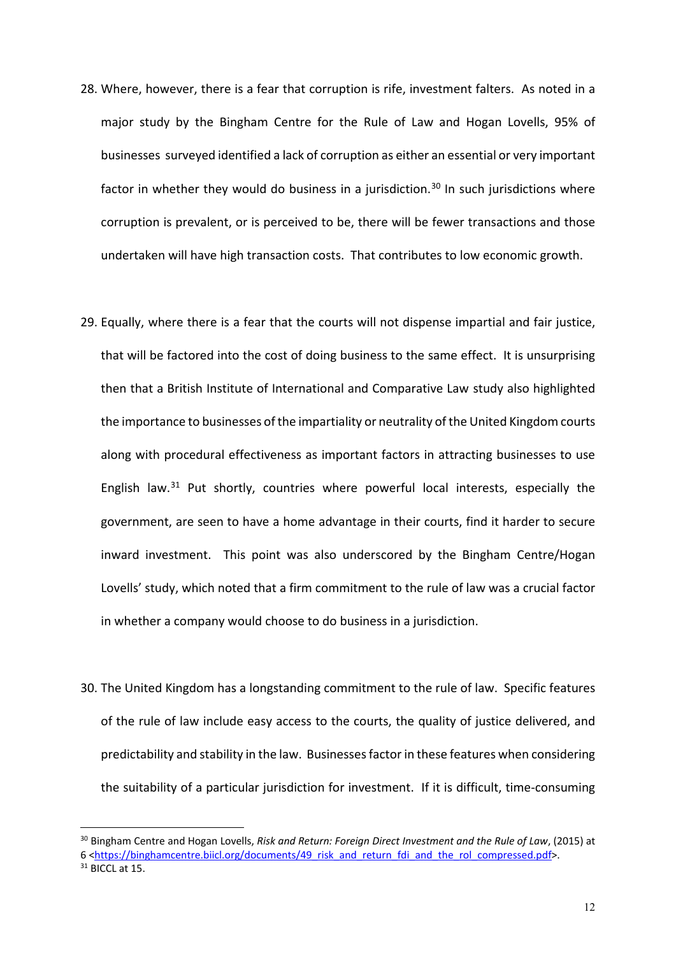- 28. Where, however, there is a fear that corruption is rife, investment falters. As noted in a major study by the Bingham Centre for the Rule of Law and Hogan Lovells, 95% of businesses surveyed identified a lack of corruption as either an essential or very important factor in whether they would do business in a jurisdiction.<sup>[30](#page-11-0)</sup> In such jurisdictions where corruption is prevalent, or is perceived to be, there will be fewer transactions and those undertaken will have high transaction costs. That contributes to low economic growth.
- 29. Equally, where there is a fear that the courts will not dispense impartial and fair justice, that will be factored into the cost of doing business to the same effect. It is unsurprising then that a British Institute of International and Comparative Law study also highlighted the importance to businesses of the impartiality or neutrality of the United Kingdom courts along with procedural effectiveness as important factors in attracting businesses to use English law. $31$  Put shortly, countries where powerful local interests, especially the government, are seen to have a home advantage in their courts, find it harder to secure inward investment. This point was also underscored by the Bingham Centre/Hogan Lovells' study, which noted that a firm commitment to the rule of law was a crucial factor in whether a company would choose to do business in a jurisdiction.
- 30. The United Kingdom has a longstanding commitment to the rule of law. Specific features of the rule of law include easy access to the courts, the quality of justice delivered, and predictability and stability in the law. Businesses factor in these features when considering the suitability of a particular jurisdiction for investment. If it is difficult, time-consuming

<span id="page-11-1"></span><span id="page-11-0"></span><sup>30</sup> Bingham Centre and Hogan Lovells, *Risk and Return: Foreign Direct Investment and the Rule of Law*, (2015) at 6 [<https://binghamcentre.biicl.org/documents/49\\_risk\\_and\\_return\\_fdi\\_and\\_the\\_rol\\_compressed.pdf>](https://binghamcentre.biicl.org/documents/49_risk_and_return_fdi_and_the_rol_compressed.pdf).  $31$  BICCL at 15.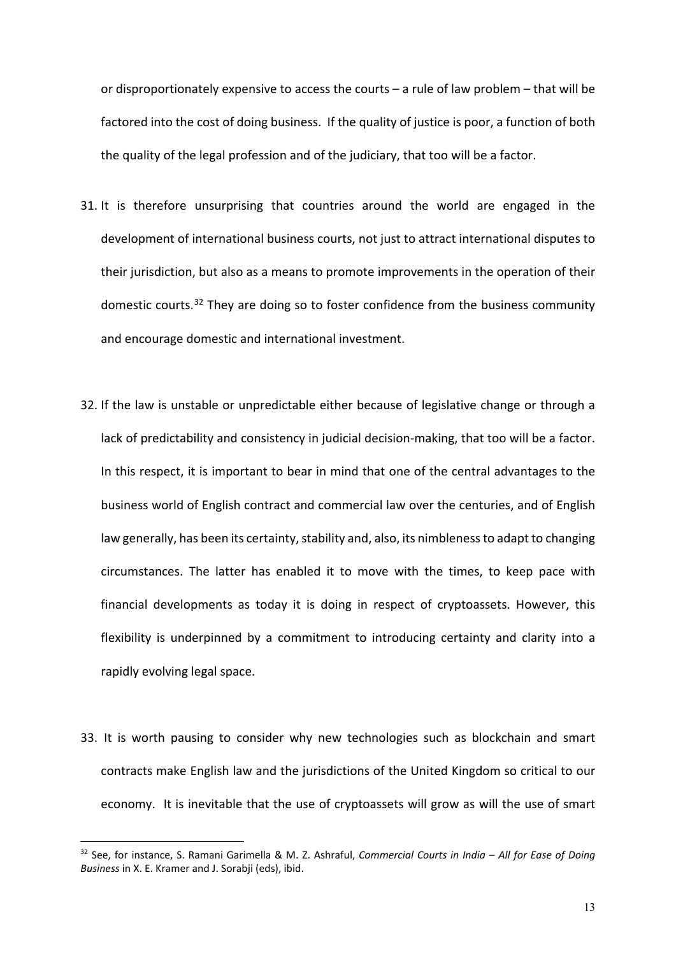or disproportionately expensive to access the courts – a rule of law problem – that will be factored into the cost of doing business. If the quality of justice is poor, a function of both the quality of the legal profession and of the judiciary, that too will be a factor.

- 31. It is therefore unsurprising that countries around the world are engaged in the development of international business courts, not just to attract international disputes to their jurisdiction, but also as a means to promote improvements in the operation of their domestic courts.<sup>[32](#page-12-0)</sup> They are doing so to foster confidence from the business community and encourage domestic and international investment.
- 32. If the law is unstable or unpredictable either because of legislative change or through a lack of predictability and consistency in judicial decision-making, that too will be a factor. In this respect, it is important to bear in mind that one of the central advantages to the business world of English contract and commercial law over the centuries, and of English law generally, has been its certainty, stability and, also, its nimbleness to adapt to changing circumstances. The latter has enabled it to move with the times, to keep pace with financial developments as today it is doing in respect of cryptoassets. However, this flexibility is underpinned by a commitment to introducing certainty and clarity into a rapidly evolving legal space.
- 33. It is worth pausing to consider why new technologies such as blockchain and smart contracts make English law and the jurisdictions of the United Kingdom so critical to our economy. It is inevitable that the use of cryptoassets will grow as will the use of smart

<span id="page-12-0"></span><sup>32</sup> See, for instance, S. Ramani Garimella & M. Z. Ashraful, *Commercial Courts in India – All for Ease of Doing Business* in X. E. Kramer and J. Sorabji (eds), ibid.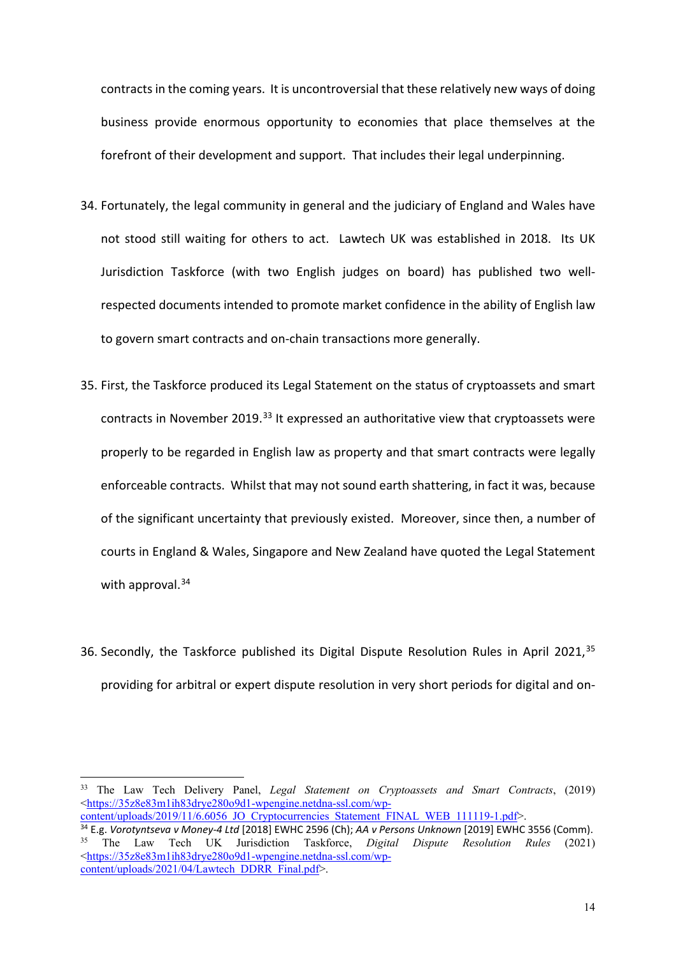contracts in the coming years. It is uncontroversial that these relatively new ways of doing business provide enormous opportunity to economies that place themselves at the forefront of their development and support. That includes their legal underpinning.

- 34. Fortunately, the legal community in general and the judiciary of England and Wales have not stood still waiting for others to act. Lawtech UK was established in 2018. Its UK Jurisdiction Taskforce (with two English judges on board) has published two wellrespected documents intended to promote market confidence in the ability of English law to govern smart contracts and on-chain transactions more generally.
- 35. First, the Taskforce produced its Legal Statement on the status of cryptoassets and smart contracts in November 2019.<sup>[33](#page-13-0)</sup> It expressed an authoritative view that cryptoassets were properly to be regarded in English law as property and that smart contracts were legally enforceable contracts. Whilst that may not sound earth shattering, in fact it was, because of the significant uncertainty that previously existed. Moreover, since then, a number of courts in England & Wales, Singapore and New Zealand have quoted the Legal Statement with approval. $34$
- 36. Secondly, the Taskforce published its Digital Dispute Resolution Rules in April 2021,<sup>[35](#page-13-2)</sup> providing for arbitral or expert dispute resolution in very short periods for digital and on-

[content/uploads/2019/11/6.6056\\_JO\\_Cryptocurrencies\\_Statement\\_FINAL\\_WEB\\_111119-1.pdf>](https://35z8e83m1ih83drye280o9d1-wpengine.netdna-ssl.com/wp-content/uploads/2019/11/6.6056_JO_Cryptocurrencies_Statement_FINAL_WEB_111119-1.pdf).

<span id="page-13-0"></span><sup>33</sup> The Law Tech Delivery Panel, *Legal Statement on Cryptoassets and Smart Contracts*, (2019) [<https://35z8e83m1ih83drye280o9d1-wpengine.netdna-ssl.com/wp-](https://35z8e83m1ih83drye280o9d1-wpengine.netdna-ssl.com/wp-content/uploads/2019/11/6.6056_JO_Cryptocurrencies_Statement_FINAL_WEB_111119-1.pdf)

<span id="page-13-2"></span><span id="page-13-1"></span><sup>34</sup> E.g. *Vorotyntseva v Money-4 Ltd* [2018] EWHC 2596 (Ch); *AA v Persons Unknown* [2019] EWHC 3556 (Comm). <sup>35</sup> The Law Tech UK Jurisdiction Taskforce, *Digital Dispute Resolution Rules* (2021) [<https://35z8e83m1ih83drye280o9d1-wpengine.netdna-ssl.com/wp](https://35z8e83m1ih83drye280o9d1-wpengine.netdna-ssl.com/wp-content/uploads/2021/04/Lawtech_DDRR_Final.pdf)[content/uploads/2021/04/Lawtech\\_DDRR\\_Final.pdf>](https://35z8e83m1ih83drye280o9d1-wpengine.netdna-ssl.com/wp-content/uploads/2021/04/Lawtech_DDRR_Final.pdf).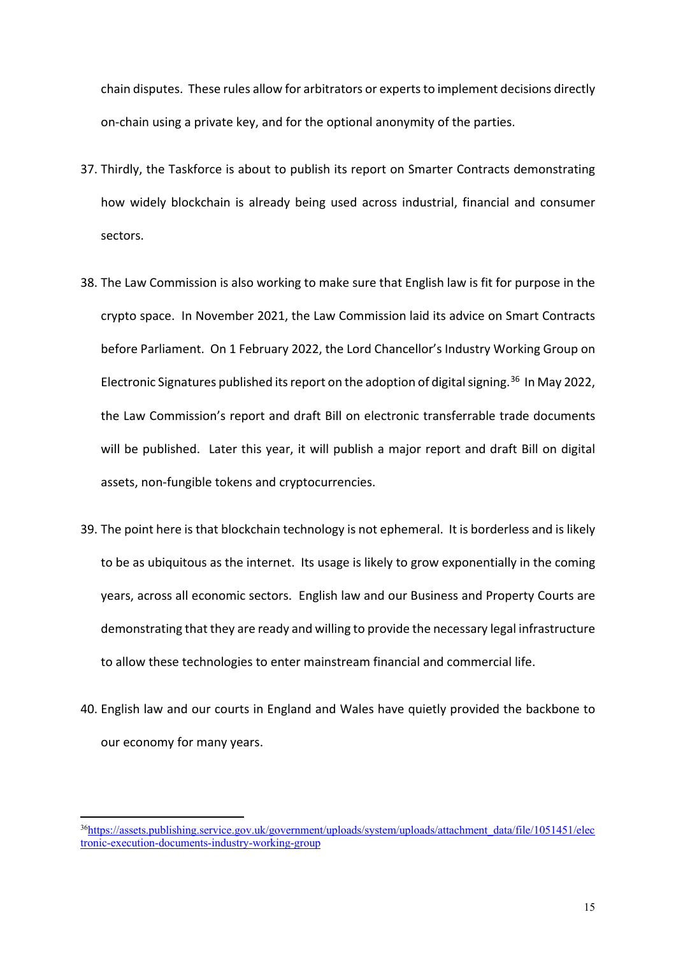chain disputes. These rules allow for arbitrators or experts to implement decisions directly on-chain using a private key, and for the optional anonymity of the parties.

- 37. Thirdly, the Taskforce is about to publish its report on Smarter Contracts demonstrating how widely blockchain is already being used across industrial, financial and consumer sectors.
- 38. The Law Commission is also working to make sure that English law is fit for purpose in the crypto space. In November 2021, the Law Commission laid its advice on Smart Contracts before Parliament. On 1 February 2022, the Lord Chancellor's Industry Working Group on Electronic Signatures published its report on the adoption of digital signing.<sup>36</sup> In May 2022, the Law Commission's report and draft Bill on electronic transferrable trade documents will be published. Later this year, it will publish a major report and draft Bill on digital assets, non-fungible tokens and cryptocurrencies.
- 39. The point here is that blockchain technology is not ephemeral. It is borderless and is likely to be as ubiquitous as the internet. Its usage is likely to grow exponentially in the coming years, across all economic sectors. English law and our Business and Property Courts are demonstrating that they are ready and willing to provide the necessary legal infrastructure to allow these technologies to enter mainstream financial and commercial life.
- 40. English law and our courts in England and Wales have quietly provided the backbone to our economy for many years.

<span id="page-14-0"></span><sup>3</sup>[6https://assets.publishing.service.gov.uk/government/uploads/system/uploads/attachment\\_data/file/1051451/elec](https://assets.publishing.service.gov.uk/government/uploads/system/uploads/attachment_data/file/1051451/electronic-execution-documents-industry-working-group) [tronic-execution-documents-industry-working-group](https://assets.publishing.service.gov.uk/government/uploads/system/uploads/attachment_data/file/1051451/electronic-execution-documents-industry-working-group)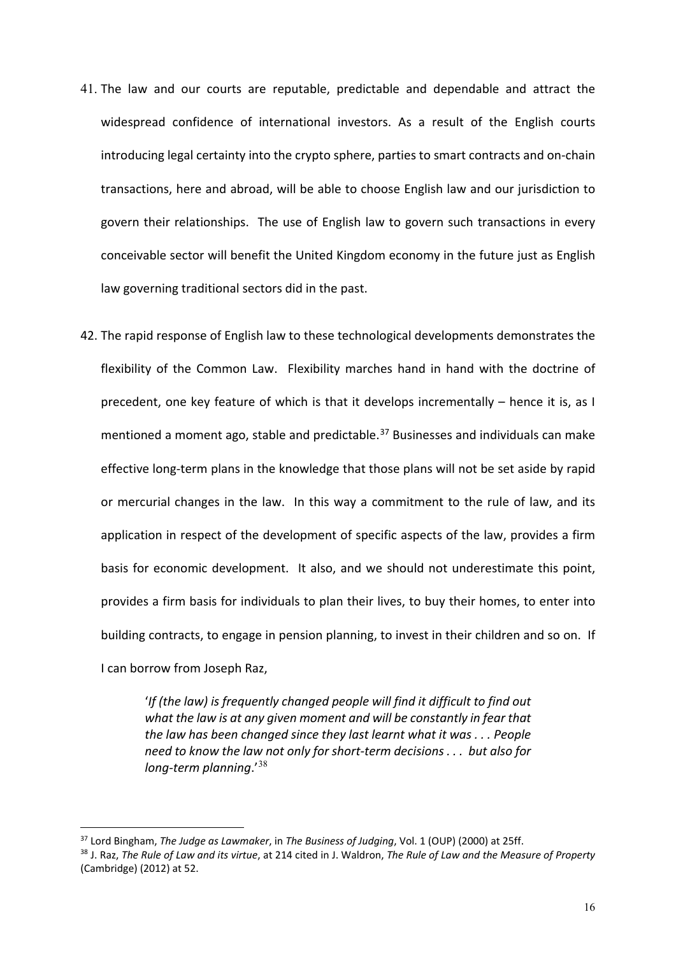- 41. The law and our courts are reputable, predictable and dependable and attract the widespread confidence of international investors. As a result of the English courts introducing legal certainty into the crypto sphere, parties to smart contracts and on-chain transactions, here and abroad, will be able to choose English law and our jurisdiction to govern their relationships. The use of English law to govern such transactions in every conceivable sector will benefit the United Kingdom economy in the future just as English law governing traditional sectors did in the past.
- 42. The rapid response of English law to these technological developments demonstrates the flexibility of the Common Law. Flexibility marches hand in hand with the doctrine of precedent, one key feature of which is that it develops incrementally – hence it is, as I mentioned a moment ago, stable and predictable. [37](#page-15-0) Businesses and individuals can make effective long-term plans in the knowledge that those plans will not be set aside by rapid or mercurial changes in the law. In this way a commitment to the rule of law, and its application in respect of the development of specific aspects of the law, provides a firm basis for economic development. It also, and we should not underestimate this point, provides a firm basis for individuals to plan their lives, to buy their homes, to enter into building contracts, to engage in pension planning, to invest in their children and so on. If I can borrow from Joseph Raz,

'*If (the law) is frequently changed people will find it difficult to find out what the law is at any given moment and will be constantly in fear that the law has been changed since they last learnt what it was . . . People need to know the law not only for short-term decisions . . . but also for long-term planning*.'[38](#page-15-1)

<span id="page-15-0"></span><sup>37</sup> Lord Bingham, *The Judge as Lawmaker*, in *The Business of Judging*, Vol. 1 (OUP) (2000) at 25ff.

<span id="page-15-1"></span><sup>38</sup> J. Raz, *The Rule of Law and its virtue*, at 214 cited in J. Waldron, *The Rule of Law and the Measure of Property* (Cambridge) (2012) at 52.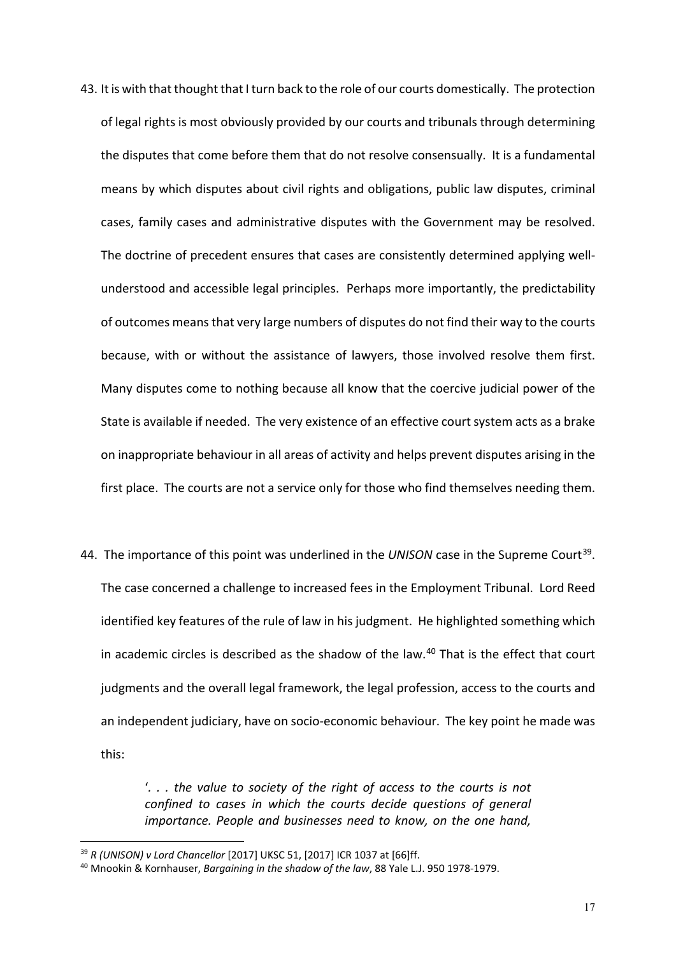- 43. It is with that thought that I turn back to the role of our courts domestically. The protection of legal rights is most obviously provided by our courts and tribunals through determining the disputes that come before them that do not resolve consensually. It is a fundamental means by which disputes about civil rights and obligations, public law disputes, criminal cases, family cases and administrative disputes with the Government may be resolved. The doctrine of precedent ensures that cases are consistently determined applying wellunderstood and accessible legal principles. Perhaps more importantly, the predictability of outcomes means that very large numbers of disputes do not find their way to the courts because, with or without the assistance of lawyers, those involved resolve them first. Many disputes come to nothing because all know that the coercive judicial power of the State is available if needed. The very existence of an effective court system acts as a brake on inappropriate behaviour in all areas of activity and helps prevent disputes arising in the first place. The courts are not a service only for those who find themselves needing them.
- 44. The importance of this point was underlined in the *UNISON* case in the Supreme Court[39](#page-16-0). The case concerned a challenge to increased fees in the Employment Tribunal. Lord Reed identified key features of the rule of law in his judgment. He highlighted something which in academic circles is described as the shadow of the law. $40$  That is the effect that court judgments and the overall legal framework, the legal profession, access to the courts and an independent judiciary, have on socio-economic behaviour. The key point he made was this:

'*. . . the value to society of the right of access to the courts is not confined to cases in which the courts decide questions of general importance. People and businesses need to know, on the one hand,* 

<span id="page-16-0"></span><sup>39</sup> *R (UNISON) v Lord Chancellor* [2017] UKSC 51, [2017] ICR 1037 at [66]ff.

<span id="page-16-1"></span><sup>40</sup> Mnookin & Kornhauser, *Bargaining in the shadow of the law*, 88 Yale L.J. 950 1978-1979.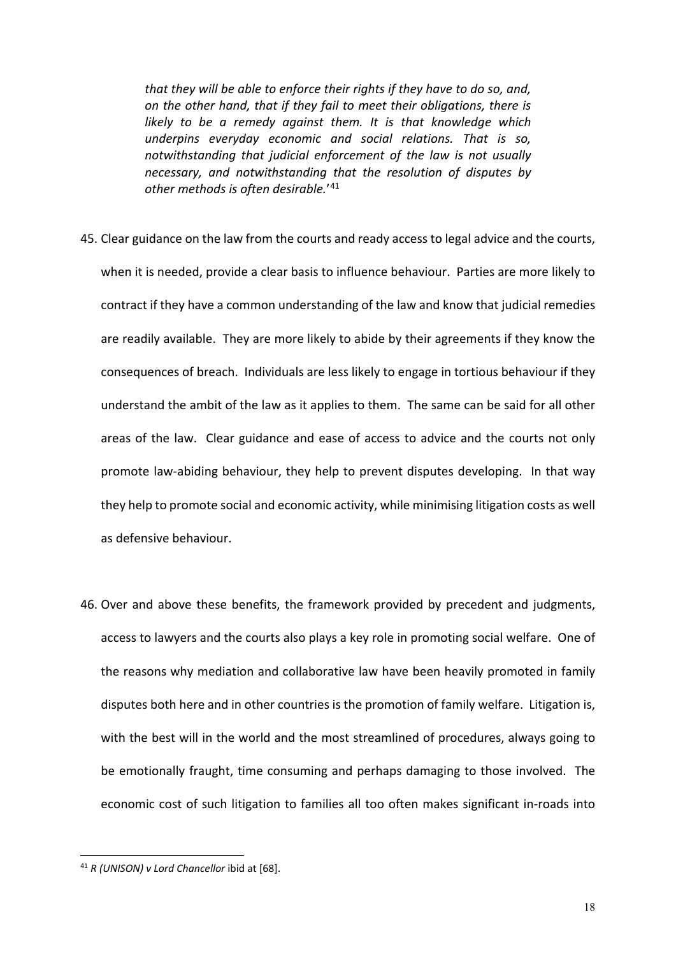*that they will be able to enforce their rights if they have to do so, and, on the other hand, that if they fail to meet their obligations, there is likely to be a remedy against them. It is that knowledge which underpins everyday economic and social relations. That is so, notwithstanding that judicial enforcement of the law is not usually necessary, and notwithstanding that the resolution of disputes by other methods is often desirable.*' [41](#page-17-0)

- 45. Clear guidance on the law from the courts and ready access to legal advice and the courts, when it is needed, provide a clear basis to influence behaviour. Parties are more likely to contract if they have a common understanding of the law and know that judicial remedies are readily available. They are more likely to abide by their agreements if they know the consequences of breach. Individuals are less likely to engage in tortious behaviour if they understand the ambit of the law as it applies to them. The same can be said for all other areas of the law. Clear guidance and ease of access to advice and the courts not only promote law-abiding behaviour, they help to prevent disputes developing. In that way they help to promote social and economic activity, while minimising litigation costs as well as defensive behaviour.
- 46. Over and above these benefits, the framework provided by precedent and judgments, access to lawyers and the courts also plays a key role in promoting social welfare. One of the reasons why mediation and collaborative law have been heavily promoted in family disputes both here and in other countries is the promotion of family welfare. Litigation is, with the best will in the world and the most streamlined of procedures, always going to be emotionally fraught, time consuming and perhaps damaging to those involved. The economic cost of such litigation to families all too often makes significant in-roads into

<span id="page-17-0"></span><sup>41</sup> *R (UNISON) v Lord Chancellor* ibid at [68].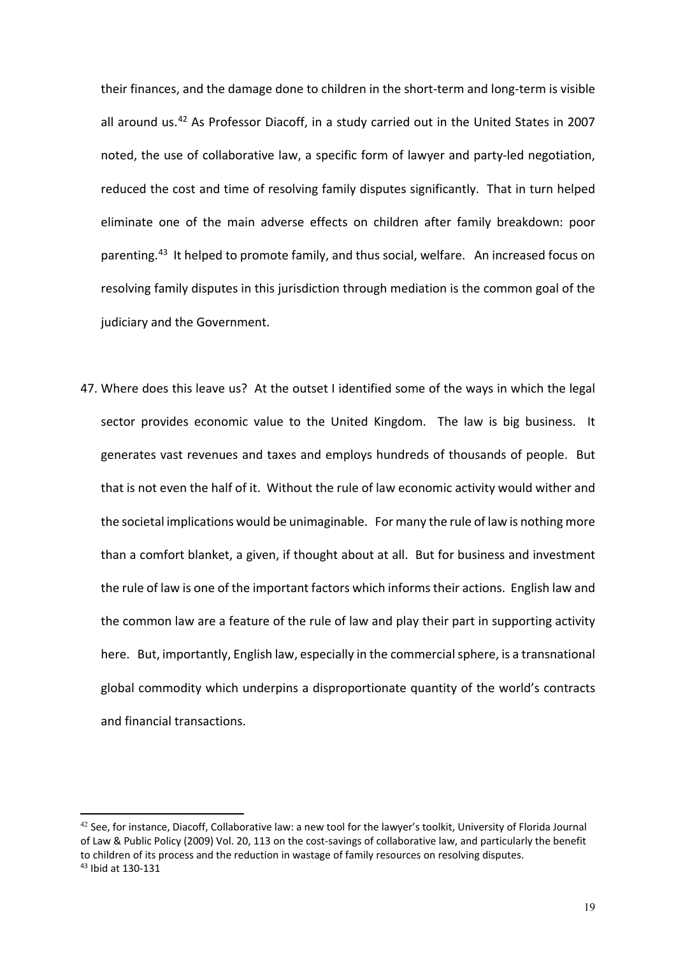their finances, and the damage done to children in the short-term and long-term is visible all around us.<sup>[42](#page-18-0)</sup> As Professor Diacoff, in a study carried out in the United States in 2007 noted, the use of collaborative law, a specific form of lawyer and party-led negotiation, reduced the cost and time of resolving family disputes significantly. That in turn helped eliminate one of the main adverse effects on children after family breakdown: poor parenting.[43](#page-18-1) It helped to promote family, and thus social, welfare. An increased focus on resolving family disputes in this jurisdiction through mediation is the common goal of the judiciary and the Government.

47. Where does this leave us? At the outset I identified some of the ways in which the legal sector provides economic value to the United Kingdom. The law is big business. It generates vast revenues and taxes and employs hundreds of thousands of people. But that is not even the half of it. Without the rule of law economic activity would wither and the societal implications would be unimaginable. For many the rule of law is nothing more than a comfort blanket, a given, if thought about at all. But for business and investment the rule of law is one of the important factors which informs their actions. English law and the common law are a feature of the rule of law and play their part in supporting activity here. But, importantly, English law, especially in the commercial sphere, is a transnational global commodity which underpins a disproportionate quantity of the world's contracts and financial transactions.

<span id="page-18-1"></span><span id="page-18-0"></span> $42$  See, for instance, Diacoff, Collaborative law: a new tool for the lawyer's toolkit, University of Florida Journal of Law & Public Policy (2009) Vol. 20, 113 on the cost-savings of collaborative law, and particularly the benefit to children of its process and the reduction in wastage of family resources on resolving disputes. <sup>43</sup> Ibid at 130-131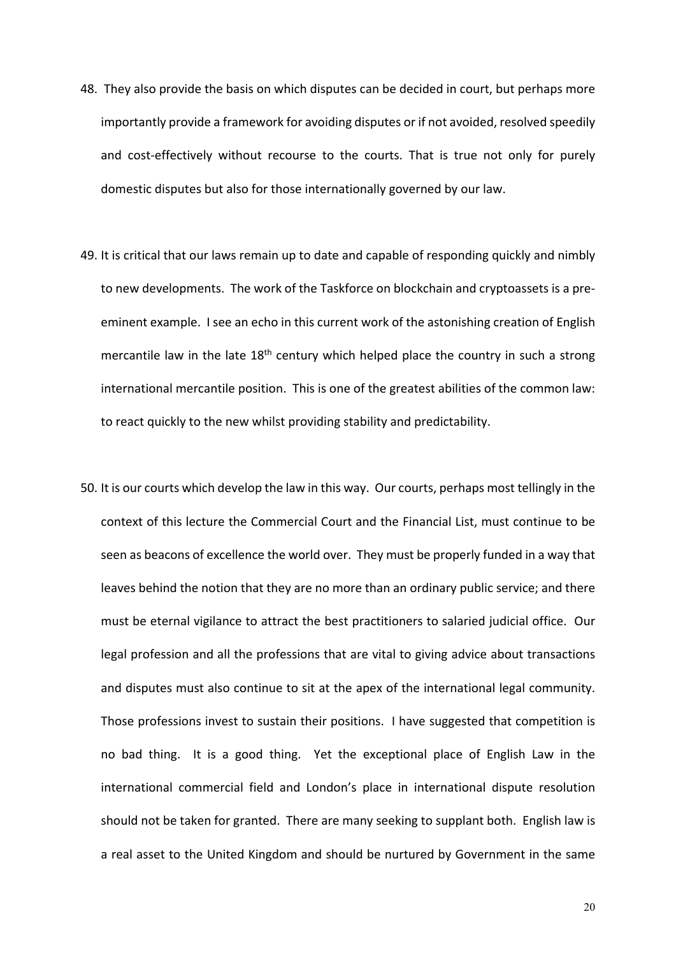- 48. They also provide the basis on which disputes can be decided in court, but perhaps more importantly provide a framework for avoiding disputes or if not avoided, resolved speedily and cost-effectively without recourse to the courts. That is true not only for purely domestic disputes but also for those internationally governed by our law.
- 49. It is critical that our laws remain up to date and capable of responding quickly and nimbly to new developments. The work of the Taskforce on blockchain and cryptoassets is a preeminent example. I see an echo in this current work of the astonishing creation of English mercantile law in the late  $18<sup>th</sup>$  century which helped place the country in such a strong international mercantile position. This is one of the greatest abilities of the common law: to react quickly to the new whilst providing stability and predictability.
- 50. It is our courts which develop the law in this way. Our courts, perhaps most tellingly in the context of this lecture the Commercial Court and the Financial List, must continue to be seen as beacons of excellence the world over. They must be properly funded in a way that leaves behind the notion that they are no more than an ordinary public service; and there must be eternal vigilance to attract the best practitioners to salaried judicial office. Our legal profession and all the professions that are vital to giving advice about transactions and disputes must also continue to sit at the apex of the international legal community. Those professions invest to sustain their positions. I have suggested that competition is no bad thing. It is a good thing. Yet the exceptional place of English Law in the international commercial field and London's place in international dispute resolution should not be taken for granted. There are many seeking to supplant both. English law is a real asset to the United Kingdom and should be nurtured by Government in the same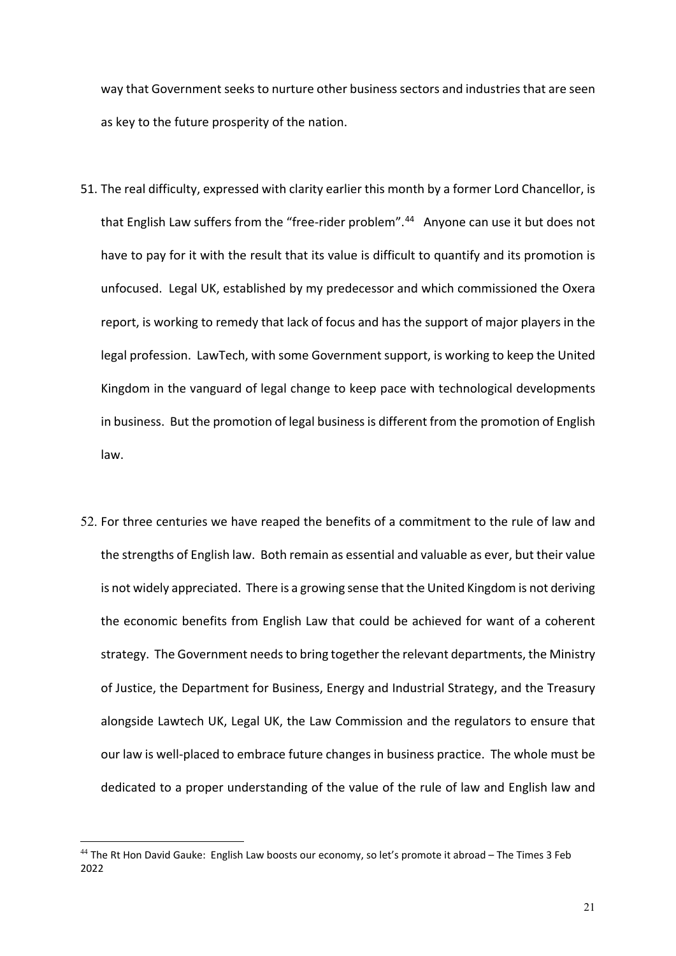way that Government seeks to nurture other business sectors and industries that are seen as key to the future prosperity of the nation.

- 51. The real difficulty, expressed with clarity earlier this month by a former Lord Chancellor, is that English Law suffers from the "free-rider problem". [44](#page-20-0) Anyone can use it but does not have to pay for it with the result that its value is difficult to quantify and its promotion is unfocused. Legal UK, established by my predecessor and which commissioned the Oxera report, is working to remedy that lack of focus and has the support of major players in the legal profession. LawTech, with some Government support, is working to keep the United Kingdom in the vanguard of legal change to keep pace with technological developments in business. But the promotion of legal business is different from the promotion of English law.
- 52. For three centuries we have reaped the benefits of a commitment to the rule of law and the strengths of English law. Both remain as essential and valuable as ever, but their value is not widely appreciated. There is a growing sense that the United Kingdom is not deriving the economic benefits from English Law that could be achieved for want of a coherent strategy. The Government needs to bring together the relevant departments, the Ministry of Justice, the Department for Business, Energy and Industrial Strategy, and the Treasury alongside Lawtech UK, Legal UK, the Law Commission and the regulators to ensure that our law is well-placed to embrace future changes in business practice. The whole must be dedicated to a proper understanding of the value of the rule of law and English law and

<span id="page-20-0"></span><sup>44</sup> The Rt Hon David Gauke: English Law boosts our economy, so let's promote it abroad – The Times 3 Feb 2022